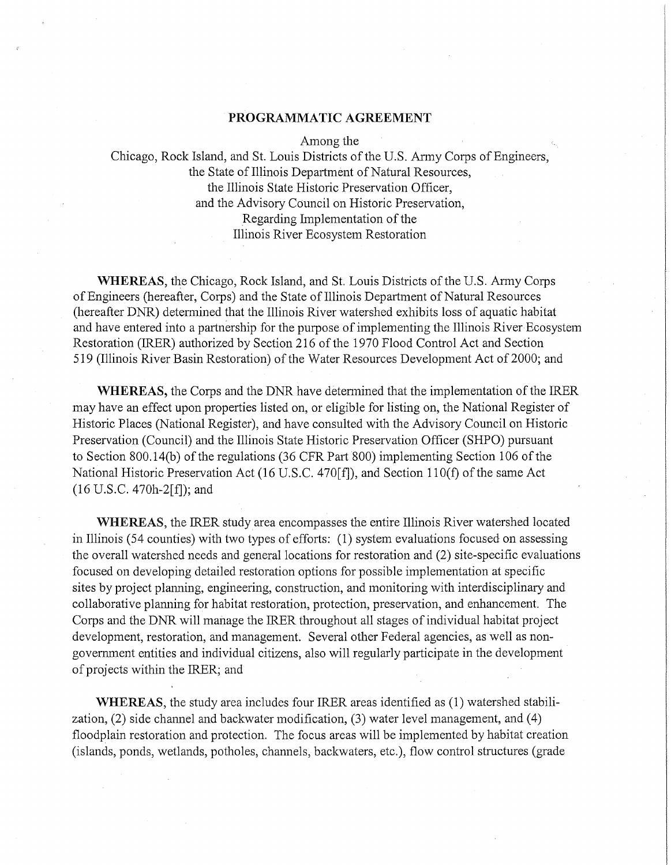### **PROGRAMMATIC AGREEMENT**

Among the

Chicago, Rock Island, and St. Louis Districts of the U.S. Army Corps of Engineers, the State of Illinois Department of Natural Resources, the Illinois State Historic Preservation Officer, and the Advisory Council on Historic Preservation, Regarding Implementation of the Illinois River Ecosystem Restoration

WHEREAS, the Chicago, Rock Island, and St. Louis Districts of the U.S. Army Corps of Engineers (hereafter, Corps) and the State of Illinois Department of Natural Resources (hereafter DNR) determined that the Illinois River watershed exhibits loss of aquatic habitat and have entered into a partnership for the purpose of implementing the Illinois River Ecosystem Restoration (IRER) authorized by Section 216 of the 1970 Flood Control Act and Section 519 (Illinois River Basin Restoration) of the Water Resources Development Act of 2000; and

**WHEREAS, the Corps and the DNR have determined that the implementation of the IRER** may have an effect upon properties listed on, or eligible for listing on, the National Register of Historic Places (National Register), and have consulted with the Advisory Council on Historic Preservation (Council) and the Illinois State Historic Preservation Officer (SHPO) pursuant to Section 800.14(b) of the regulations (36 CFR Part 800) implementing Section 106 of the National Historic Preservation Act (16 U.S.C. 470[£]), and Section 11 O(f) of the same Act (16 U.S.C. 470h-2[f]); and

**WHEREAS,** the IRER study area encompasses the entire Illinois River watershed located in Illinois (54 counties) with two types of efforts: (1) system evaluations focused on assessing the overall watershed needs and general locations for restoration and (2) site-specific evaluations focused on developing detailed restoration options for possible implementation at specific sites by project planning, engineering, construction, and monitoring with interdisciplinary and collaborative planning for habitat restoration, protection, preservation, and enhancement. The Corps and the DNR will manage the IRER throughout all stages of individual habitat project development, restoration, and management. Several other Federal agencies, as well as nongovernment entities and individual citizens, also will regularly participate in the development of projects within the IRER; and

**WHEREAS,** the study area includes four IRER areas identified as (1) watershed stabilization,  $(2)$  side channel and backwater modification,  $(3)$  water level management, and  $(4)$ floodplain restoration and protection. The focus areas will be implemented by habitat creation (islands, ponds, wetlands, potholes, channels, backwaters, etc.), flow control structures (grade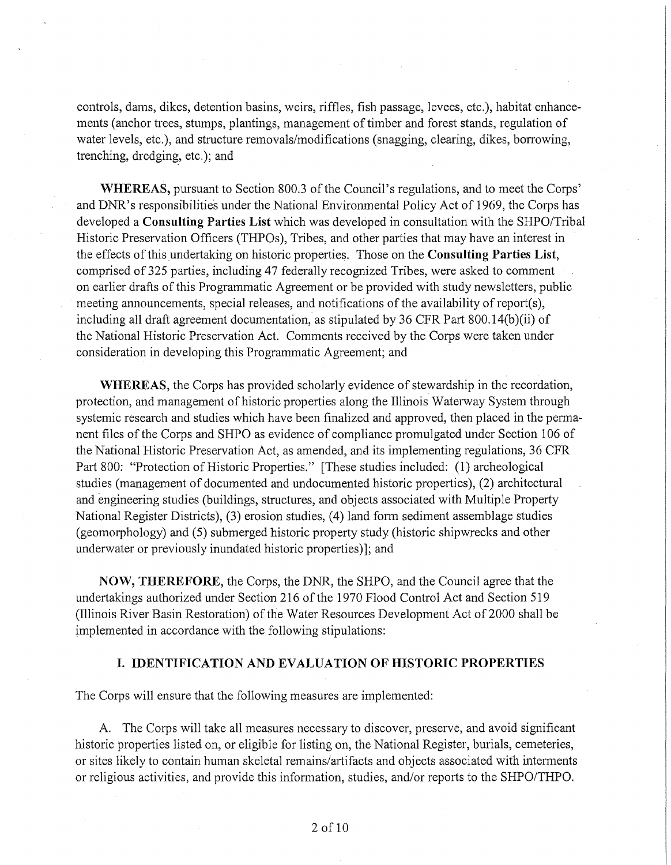controls, dams, dikes, detention basins, weirs, riffles, fish passage, levees, etc.), habitat enhancements (anchor trees, stumps, plantings, management of timber and forest stands, regulation of water levels, etc.), and structure removals/modifications (snagging, clearing, dikes, borrowing, trenching, dredging, etc.); and

**WHEREAS,** pursuant to Section 800.3 of the Council's regulations, and to meet the Corps' and DNR's responsibilities under the National Environmental Policy Act of 1969, the Corps has developed a **Consulting Parties List** which was developed in consultation with the SHPO/Tribal Historic Preservation Officers (THPOs), Tribes, and other parties that may have an interest in the effects of this undertaking on historic properties. Those on the **Consulting Parties List,**  comprised of 325 parties, including 47 federally recognized Tribes, were asked to comment on earlier drafts of this Programmatic Agreement or be provided with study newsletters, public meeting announcements, special releases, and notifications of the availability of report(s), including all draft agreement documentation, as stipulated by 36 CFR Part 800.14(b)(ii) of the National Historic Preservation Act. Comments received by the Corps were taken under consideration in developing this Programmatic Agreement; and

**WHEREAS,** the Corps has provided scholarly evidence of stewardship in the recordation, protection, and management of historic properties along the Illinois Waterway System through systemic research and studies which have been finalized and approved, then placed in the permanent files of the Corps and SHPO as evidence of compliance promulgated under Section 106 of the National Historic Preservation Act, as amended, and its implementing regulations, 36 CFR Part 800: "Protection of Historic Properties." [These studies included: (1) archeological studies (management of documented and undocumented historic properties), (2) architectural and engineering studies (buildings, structures, and objects associated with Multiple Property National Register Districts), (3) erosion studies, (4) land form sediment assemblage studies (geomorphology) and (5) submerged historic property study (historic shipwrecks and other underwater or previously inundated historic properties)]; and

**NOW, THEREFORE,** the Corps, the DNR, the SHPO, and the Council agree that the undertakings authorized under Section 216 of the 1970 Flood Control Act and Section 519 (Illinois River Basin Restoration) of the Water Resources Development Act of 2000 shall be implemented in accordance with the following stipulations:

## **I. IDENTIFICATION AND EVALUATION OF HISTORIC PROPERTIES**

The Corps will ensure that the following measures are implemented:

A. The Corps will take all measures necessary to discover, preserve, and avoid significant historic properties listed on, or eligible for listing on, the National Register, burials, cemeteries, or sites likely to contain human skeletal remains/artifacts and objects associated with interments or religious activities, and provide this information, studies, and/or reports to the SHPO/THPO.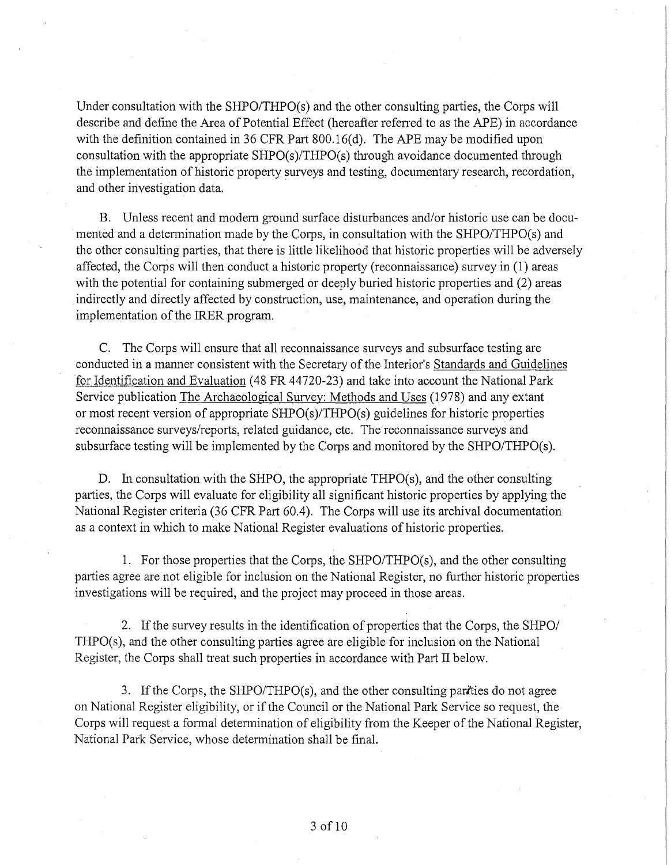Under consultation with the SHPO/THPO(s) and the other consulting parties, the Corps will describe and define the Area of Potential Effect (hereafter referred to as the APE) in accordance with the definition contained in 36 CFR Part 800.16(d). The APE may be modified upon consultation with the appropriate SHPO(s)/THPO(s) through avoidance documented through the implementation of historic property surveys and testing, documentary research, recordation, and other investigation data.

B. Unless recent and modem ground surface disturbances and/or historic use can be documented and a determination made by the Corps, in consultation with the SHPO/THPO(s) and the other consulting parties, that there is little likelihood that historic properties will be adversely affected, the Corps will then conduct a historic property (reconnaissance) survey in (1) areas with the potential for containing submerged or deeply buried historic properties and (2) areas indirectly and directly affected by construction, use, maintenance, and operation during the implementation of the IRER program.

C. The Corps will ensure that all reconnaissance surveys and subsurface testing are conducted in a manner consistent with the Secretary of the Interior's Standards and Guidelines for Identification and Evaluation (48 FR 44720-23) and take into account the National Park Service publication The Archaeological Survey: Methods and Uses (1978) and any extant or most recent version of appropriate SHPO(s)/THPO(s) guidelines for historic properties reconnaissance surveys/reports, related guidance, etc. The reconnaissance surveys and subsurface testing will be implemented by the Corps and monitored by the SHPO/THPO(s).

D. In consultation with the SHPO, the appropriate THPO(s), and the other consulting parties, the Corps will evaluate for eligibility all significant historic properties by applying the National Register criteria (36 CFR Part 60.4). The Corps will use its archival documentation as a context in which to make National Register evaluations of historic properties.

1. For those properties that the Corps, the SHPO/THPO(s), and the other consulting parties agree are not eligible for inclusion on the National Register, no further historic properties investigations will be required, and the project may proceed in those areas.

2. If the survey results in the identification of properties that the Corps, the SHPO/ THPO(s), and the other consulting parties agree are eligible for inclusion on the National Register, the Corps shall treat such properties in accordance with Part II below.

3. If the Corps, the SHPO/THPO(s), and the other consulting parities do not agree on National Register eligibility, or if the Council or the National Park Service so request, the Corps will request a formal determination of eligibility from the Keeper of the National Register, National Park Service, whose determination shall be final.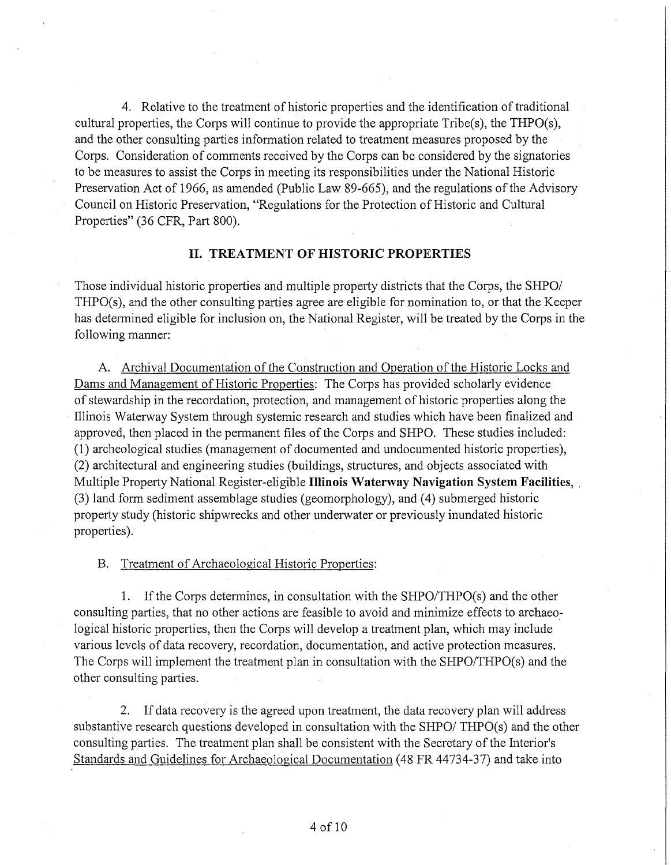4. Relative to the treatment of historic properties and the identification of traditional cultural properties, the Corps will continue to provide the appropriate Tribe(s), the THPO(s), and the other consulting parties information related to treatment measures proposed by the Corps. Consideration of comments received by the Corps can be considered by the signatories to be measures to assist the Corps in meeting its responsibilities under the National Historic Preservation Act of 1966, as amended (Public Law 89-665), and the regulations of the Advisory Council on Historic Preservation, "Regulations for the Protection of Historic and Cultural Properties" (36 CFR, Part 800).

# **II. TREATMENT OF HISTORIC PROPERTIES**

Those individual historic properties and multiple property districts that the Corps, the SHPO/ THPO(s), and the other consulting parties agree are eligible for nomination to, or that the Keeper has determined eligible for inclusion on, the National Register, will be treated by the Corps in the following manner:

A. Archival Documentation of the Construction and Operation of the Historic Locks and Dams and Management of Historic Properties: The Corps has provided scholarly evidence of stewardship in the recordation, protection, and management of historic properties along the Illinois Waterway System through systemic research and studies which have been finalized and approved, then placed in the pennanent files of the Corps and SHPO. These studies included: (1) archeological studies (management of documented and undocumented historic properties), (2) architectural and engineering studies (buildings, structures, and objects associated with Multiple Property National Register-eligible **Illinois Waterway Navigation System Facilities,** . (3) land form sediment assemblage studies (geomorphology), and (4) submerged historic property study (historic shipwrecks and other underwater or previously inundated historic properties).

B. Treatment of Archaeological Historic Properties:

1. If the Corps determines, in consultation with the SHPO/THPO(s) and the other consulting parties, that no other actions are feasible to avoid and minimize effects to archaeological historic properties, then the Corps will develop a treatment plan, which may include various levels of data recovery, recordation, documentation, and active protection measures. The Corps will implement the treatment plan in consultation with the SHPO/THPO(s) and the other consulting parties.

2. If data recovery is the agreed upon treatment, the data recovery plan will address substantive research questions developed in consultation with the SHPO/ THPO(s) and the other consulting parties. The treatment plan shall be consistent with the Secretary of the Interior's Standards and Guidelines for Archaeological Documentation (48 FR 44734-37) and take into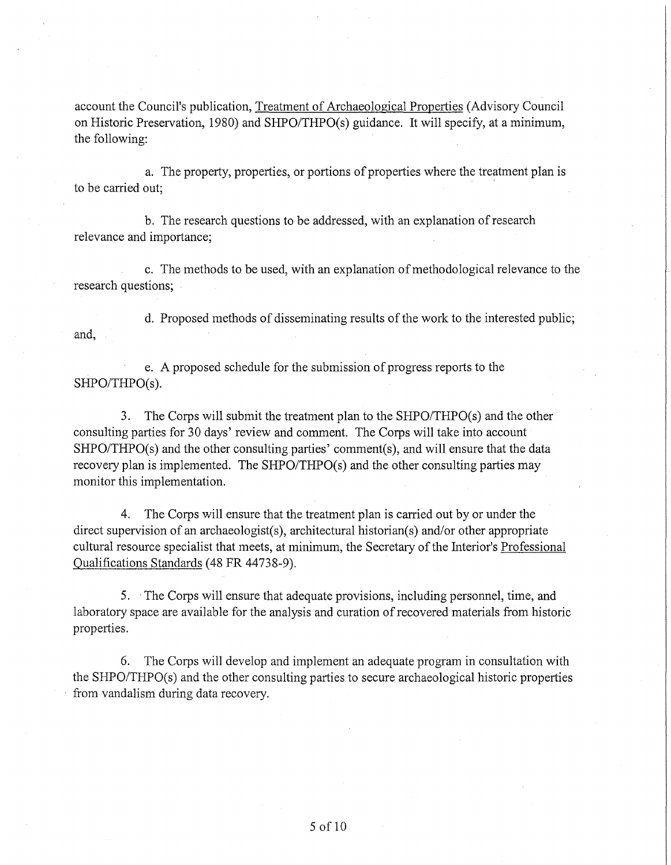account the Council's publication, Treatment of Archaeological Properties (Advisory Council on Historic Preservation, 1980) and SHPO/THPO(s) guidance. It will specify, at a minimum, the following:

a. The property, properties, or portions of properties where the treatment plan is to be carried out;

b. The research questions to be addressed, with an explanation of research relevance and importance;

c. The methods to be used, with an explanation of methodological relevance to the research questions;

d. Proposed methods of disseminating results of the work to the interested public; and,

e. A proposed schedule for the submission of progress reports to the SHPO/THPO(s).

3. The Corps will submit the treatment plan to the SHPO/THPO(s) and the other consulting parties for 30 days' review and comment. The Corps will take into account SHPO/THPO(s) and the other consulting parties' comment(s), and will ensure that the data recovery plan is implemented. The SHPO/THPO(s) and the other consulting parties may monitor this implementation.

4. The Corps will ensure that the treatment plan is carried out by or under the direct supervision of an archaeologist(s), architectural historian(s) and/or other appropriate cultural resource specialist that meets, at minimum, the Secretary of the Interior's Professional Qualifications Standards (48 FR 44738-9).

5. · The Corps will ensure that adequate provisions, including personnel, time, and laboratory space are available for the analysis and curation of recovered materials from historic properties.

6. The Corps will develop and implement an adequate program in consultation with the SHPO/THPO(s) and the other consulting parties to secure archaeological historic properties from vandalism during data recovery.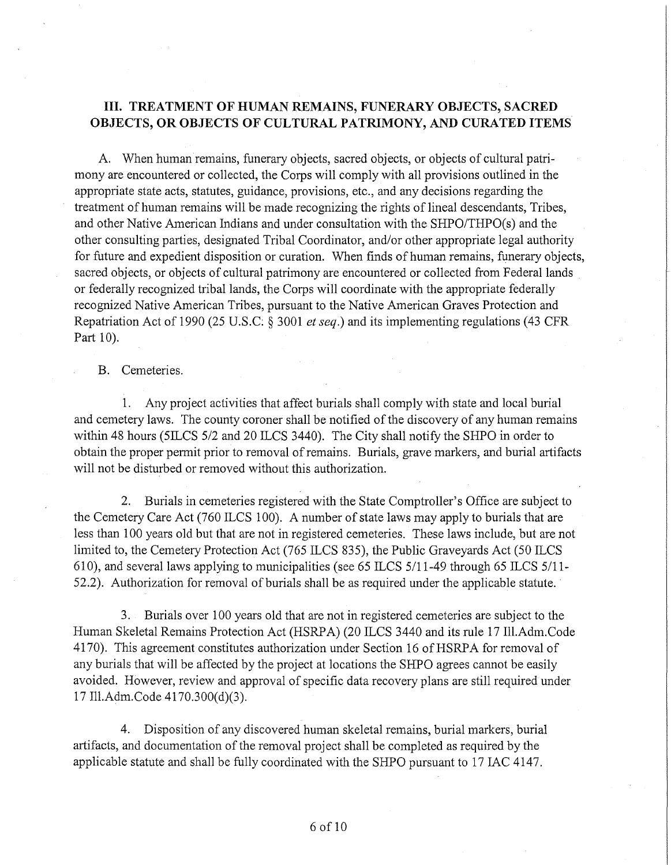# III. **TREATMENT OF HUMAN REMAINS, FUNERARY OBJECTS, SACRED OBJECTS, OR OBJECTS OF CULTURAL PATRIMONY, AND CURATED ITEMS**

A. When human remains, funerary objects, sacred objects, or objects of cultural patrimony are encountered or collected, the Corps will comply with all provisions outlined in the appropriate state acts, statutes, guidance, provisions, etc., and any decisions regarding the treatment of human remains will be made recognizing the rights of lineal descendants, Tribes, and other Native American Indians and under consultation with the SHPO/THPO(s) and the other consulting parties, designated Tribal Coordinator, and/or other appropriate legal authority for future and expedient disposition or curation. When finds of human remains, funerary objects, sacred objects, or objects of cultural patrimony are encountered or collected from Federal lands or federally recognized tribal lands, the Corps will coordinate with the appropriate federally recognized Native American Tribes, pursuant to the Native American Graves Protection and Repatriation Act of 1990 (25 U.S.C: § 3001 *et seq.)* and its implementing regulations (43 CFR Part 10).

B. Cemeteries.

1. Any project activities that affect burials shall comply with state and local burial and cemetery laws. The county coroner shall be notified of the discovery of any human remains within 48 hours (5ILCS 5/2 and 20 ILCS 3440). The City shall notify the SHPO in order to obtain the proper permit prior to removal of remains. Burials, grave markers, and burial artifacts will not be disturbed or removed without this authorization.

2. Burials in cemeteries registered with the State Comptroller's Office are subject to the Cemetery Care Act (760 ILCS 100). A number of state laws may apply to burials that are less than 100 years old but that are not in registered cemeteries. These laws include, but are not limited to, the Cemetery Protection Act (765 ILCS 835), the Public Graveyards Act (50 ILCS 610), and several laws applying to municipalities (see 65 ILCS 5/11-49 through 65 ILCS 5/11- 52.2). Authorization for removal of burials shall be as required under the applicable statute.

3. Burials over 100 years old that are not in registered cemeteries are subject to the Human Skeletal Remains Protection Act (HSRP A) (20 ILCS 3440 and its rule 17 Ill.Adm.Code 4170). This agreement constitutes authorization under Section 16 of HSRPA for removal of any burials that will be affected by the project at locations the SHPO agrees cannot be easily avoided. However, review and approval of specific data recovery plans are still required under 17 Ill.Adm.Code 4170.300(d)(3).

4. Disposition of any discovered human skeletal remains, burial markers, burial artifacts, and documentation of the removal project shall be completed as required by the applicable statute and shall be fully coordinated with the SHPO pursuant to 17 IAC 4147.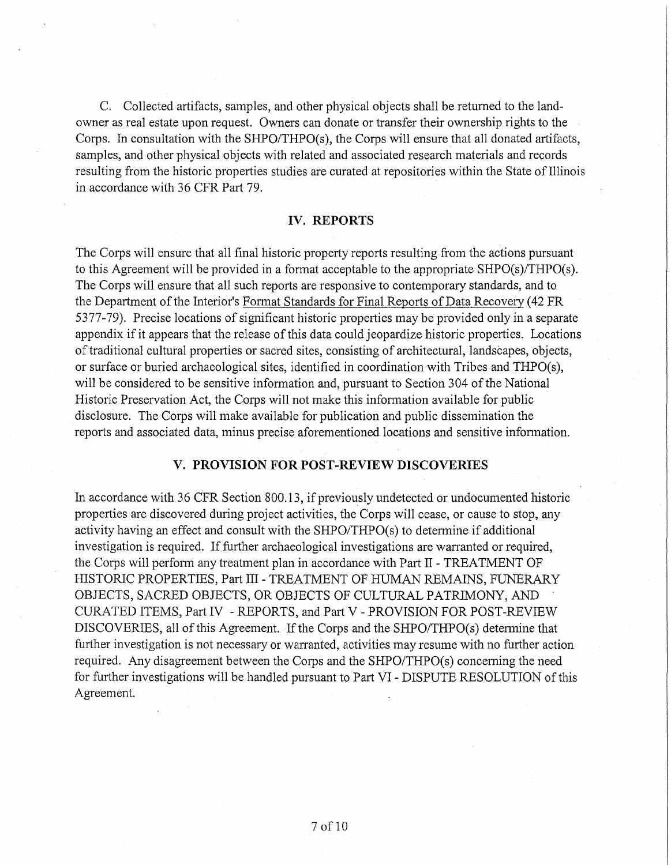C. Collected artifacts, samples, and other physical objects shall be returned to the landowner as real estate upon request. Owners can donate or transfer their ownership rights to the Corps. In consultation with the SHPO/THPO(s), the Corps will ensure that all donated artifacts, samples, and other physical objects with related and associated research materials and records resulting from the historic properties studies are curated at repositories within the State of Illinois in accordance with 36 CFR Part 79.

## **IV. REPORTS**

The Corps will ensure that all final historic property reports resulting from the actions pursuant to this Agreement will be provided in a format acceptable to the appropriate SHPO(s)/THPO(s). The Corps will ensure that all such reports are responsive to contemporary standards, and to the Department of the Interior's Fonnat Standards for Final Reports of Data Recovery (42 FR 5377-79). Precise locations of significant historic properties may be provided only in a separate appendix if it appears that the release of this data could jeopardize historic properties. Locations of traditional cultural properties or sacred sites, consisting of architectural, landscapes, objects, or surface or buried archaeological sites, identified in coordination with Tribes and THPO(s), will be considered to be sensitive information and, pursuant to Section 304 of the National Historic Preservation Act, the Corps will not make this information available for public disclosure. The Corps will make available for publication and public dissemination the reports and associated data, minus precise aforementioned locations and sensitive information.

#### **V. PROVISION FOR POST-REVIEW DISCOVERIES**

In accordance with 36 CFR Section 800.13, if previously undetected or undocumented historic properties are discovered during project activities, the Corps will cease, or cause to stop, any activity having an effect and consult with the SHPO/THPO(s) to determine if additional investigation is required. If further archaeological investigations are warranted or required, the Corps will perform any treatment plan in accordance with Part II - TREATMENT OF HISTORIC PROPERTIES, Part III - TREATMENT OF HUMAN REMAINS, FUNERARY OBJECTS, SACRED OBJECTS, OR OBJECTS OF CULTURAL PATRIMONY, AND · CURATED ITEMS, Part IV - REPORTS, and Part V - PROVISION FOR POST-REVIEW DISCOVERIES, all of this Agreement. If the Corps and the SHPO/THPO(s) determine that further investigation is not necessary or warranted, activities may resume with no further action required. Any disagreement between the Corps and the SHPO/THPO(s) concerning the need for further investigations will be handled pursuant to Part VI - DISPUTE RESOLUTION of this Agreement.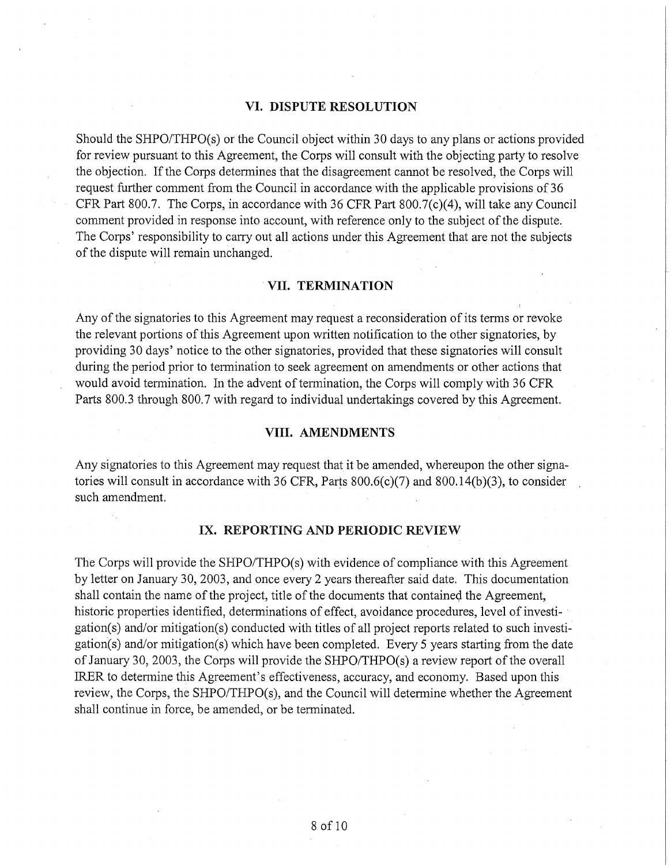## **VI. DISPUTE RESOLUTION**

Should the SHPO/THPO(s) or the Council object within 30 days to any plans or actions provided for review pursuant to this Agreement, the Corps will consult with the objecting party to resolve the objection. If the Corps determines that the disagreement cannot be resolved, the Corps will request further comment from the Council in accordance with the applicable provisions of 36 CFR Part 800.7. The Corps, in accordance with 36 CFR Part 800.7(c)(4), will take any Council comment provided in response into account, with reference only to the subject of the dispute. The Corps' responsibility to carry out all actions under this Agreement that are not the subjects of the dispute will remain unchanged.

#### **VII. TERMINATION**

Any of the signatories to this Agreement may request a reconsideration of its terms or revoke the relevant portions of this Agreement upon written notification to the other signatories, by providing 30 days' notice to the other signatories, provided that these signatories will consult during the period prior to termination to seek agreement on amendments or other actions that would avoid termination. In the advent of termination, the Corps will comply with 36 CFR Parts 800.3 through 800.7 with regard to individual undertakings covered by this Agreement.

## **VIII. AMENDMENTS**

Any signatories to this Agreement may request that it be amended, whereupon the other signatories will consult in accordance with 36 CFR, Parts  $800.6(c)(7)$  and  $800.14(b)(3)$ , to consider such amendment.

## IX. **REPORTING AND PERIODIC REVIEW**

The Corps will provide the SHPO/THPO(s) with evidence of compliance with this Agreement by letter on January 30, 2003, and once every 2 years thereafter said date. This documentation shall contain the name of the project, title of the documents that contained the Agreement, historic properties identified, determinations of effect, avoidance procedures, level of investigation(s) and/or mitigation(s) conducted with titles of all project reports related to such investigation(s) and/or mitigation(s) which have been completed. Every 5 years starting from the date of January 30, 2003, the Corps will provide the SHPO/THPO(s) a review report of the overall IRER to determine this Agreement's effectiveness, accuracy, and economy. Based upon this review, the Corps, the SHPO/THPO(s), and the Council will determine whether the Agreement shall continue in force, be amended, or be terminated.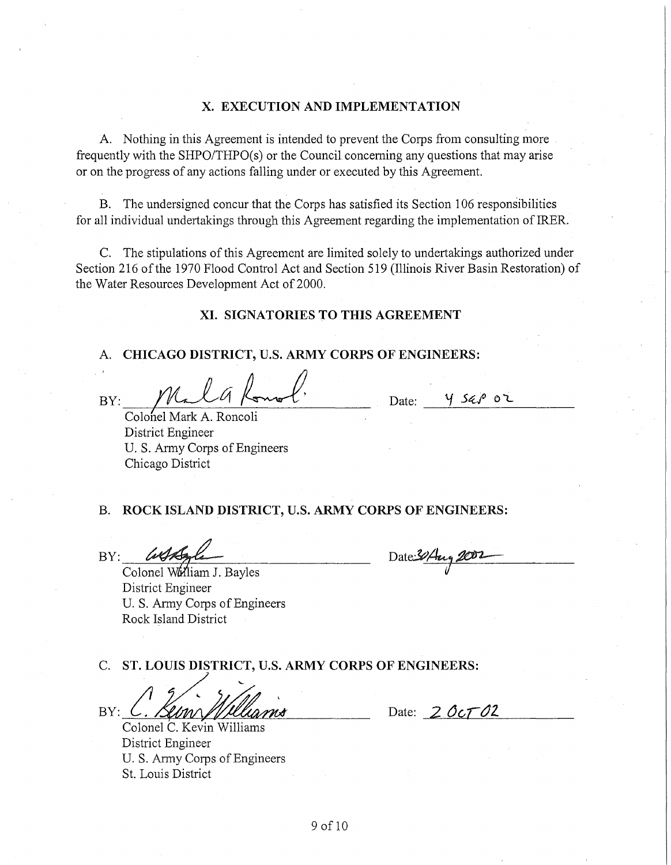## **X. EXECUTION AND IMPLEMENTATION**

A. Nothing in this Agreement is intended to prevent the Corps from consulting more frequently with the SHPO/THPO(s) or the Council concerning any questions that may arise or on the progress of any actions falling under or executed by this Agreement.

B. The undersigned concur that the Corps has satisfied its Section 106 responsibilities for all individual undertakings through this Agreement regarding the implementation of lRER.

C. The stipulations of this Agreement are limited solely to undertakings authorized under Section 216 of the 1970 Flood Control Act and Section 519 (Illinois River Basin Restoration) of the Water Resources Development Act of 2000.

#### **XI. SIGNATORIES TO THIS AGREEMENT**

# A. **CHICAGO DISTRICT, U.S. ARMY CORPS OF ENGINEERS:**

BY: Malglomal.

Date:  $\frac{1}{2}$  Sap or

Colohel Mark A. Roncoli District Engineer U.S. Army Corps of Engineers Chicago District

## B. ROCK ISLAND DISTRICT, U.S. ARMY CORPS OF ENGINEERS:

Date 30 Aug 200

BY: *USAgle* District Engineer U. S. Army Corps of Engineers Rock Island District

E. S. Alling Corps of Engineers<br>Rock Island District<br>C. ST. LOUIS DISTRICT, U.S. ARMY CORPS OF ENGINEERS:<br>BY: Colonel C. Kevin Williams<br>Colonel C. Kevin Williams

Colonel C. Kevin Williams District Engineer U.S. Army Corps of Engineers St. Louis District